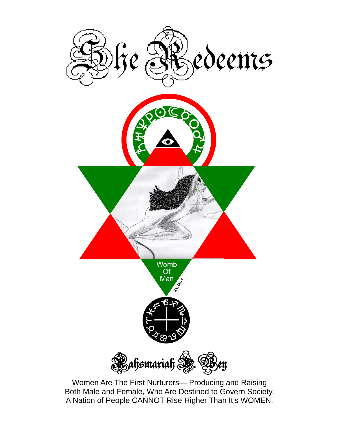

Women Are The First Nurturers— Producing and Raising Both Male and Female, Who Are Destined to Govern Society. A Nation of People CANNOT Rise Higher Than It's WOMEN.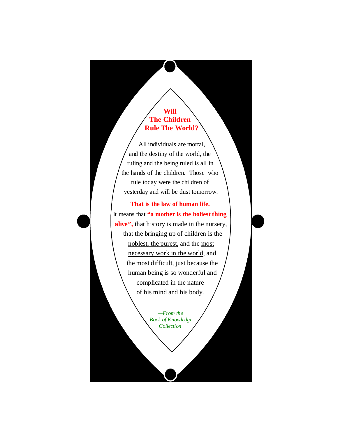#### **Will The Children Rule The World?**

 All individuals are mortal, and the destiny of the world, the ruling and the being ruled is all in the hands of the children. Those who rule today were the children of yesterday and will be dust tomorrow.

#### **That is the law of human life.**

It means that **"a mother is the holiest thing**  alive", that history is made in the nursery, that the bringing up of children is the noblest, the purest, and the most necessary work in the world, and the most difficult, just because the human being is so wonderful and complicated in the nature of his mind and his body.

> *—From the Book of Knowledge Collection*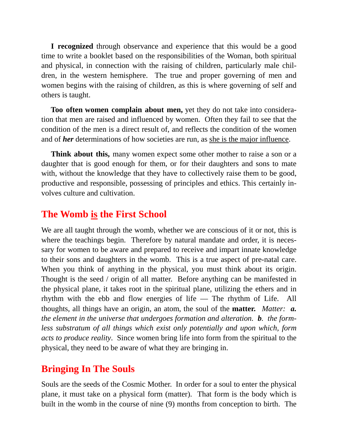**I recognized** through observance and experience that this would be a good time to write a booklet based on the responsibilities of the Woman, both spiritual and physical, in connection with the raising of children, particularly male children, in the western hemisphere. The true and proper governing of men and women begins with the raising of children, as this is where governing of self and others is taught.

 **Too often women complain about men,** yet they do not take into consideration that men are raised and influenced by women. Often they fail to see that the condition of the men is a direct result of, and reflects the condition of the women and of *her* determinations of how societies are run, as she is the major influence.

**Think about this,** many women expect some other mother to raise a son or a daughter that is good enough for them, or for their daughters and sons to mate with, without the knowledge that they have to collectively raise them to be good, productive and responsible, possessing of principles and ethics. This certainly involves culture and cultivation.

### **The Womb is the First School**

We are all taught through the womb, whether we are conscious of it or not, this is where the teachings begin. Therefore by natural mandate and order, it is necessary for women to be aware and prepared to receive and impart innate knowledge to their sons and daughters in the womb. This is a true aspect of pre-natal care. When you think of anything in the physical, you must think about its origin. Thought is the seed / origin of all matter. Before anything can be manifested in the physical plane, it takes root in the spiritual plane, utilizing the ethers and in rhythm with the ebb and flow energies of life — The rhythm of Life. All thoughts, all things have an origin, an atom, the soul of the **matter.** *Matter: a. the element in the universe that undergoes formation and alteration. b. the formless substratum of all things which exist only potentially and upon which, form acts to produce reality*. Since women bring life into form from the spiritual to the physical, they need to be aware of what they are bringing in.

## **Bringing In The Souls**

Souls are the seeds of the Cosmic Mother. In order for a soul to enter the physical plane, it must take on a physical form (matter). That form is the body which is built in the womb in the course of nine (9) months from conception to birth. The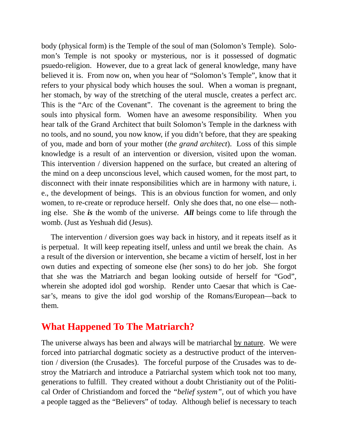body (physical form) is the Temple of the soul of man (Solomon's Temple). Solomon's Temple is not spooky or mysterious, nor is it possessed of dogmatic psuedo-religion. However, due to a great lack of general knowledge, many have believed it is. From now on, when you hear of "Solomon's Temple", know that it refers to your physical body which houses the soul. When a woman is pregnant, her stomach, by way of the stretching of the uteral muscle, creates a perfect arc. This is the "Arc of the Covenant". The covenant is the agreement to bring the souls into physical form. Women have an awesome responsibility. When you hear talk of the Grand Architect that built Solomon's Temple in the darkness with no tools, and no sound, you now know, if you didn't before, that they are speaking of you, made and born of your mother (*the grand architect*). Loss of this simple knowledge is a result of an intervention or diversion, visited upon the woman. This intervention / diversion happened on the surface, but created an altering of the mind on a deep unconscious level, which caused women, for the most part, to disconnect with their innate responsibilities which are in harmony with nature, i. e., the development of beings. This is an obvious function for women, and only women, to re-create or reproduce herself. Only she does that, no one else— nothing else. She *is* the womb of the universe. *All* beings come to life through the womb. (Just as Yeshuah did (Jesus).

 The intervention / diversion goes way back in history, and it repeats itself as it is perpetual. It will keep repeating itself, unless and until we break the chain. As a result of the diversion or intervention, she became a victim of herself, lost in her own duties and expecting of someone else (her sons) to do her job. She forgot that she was the Matriarch and began looking outside of herself for "God", wherein she adopted idol god worship. Render unto Caesar that which is Caesar's, means to give the idol god worship of the Romans/European—back to them.

## **What Happened To The Matriarch?**

The universe always has been and always will be matriarchal by nature. We were forced into patriarchal dogmatic society as a destructive product of the intervention / diversion (the Crusades). The forceful purpose of the Crusades was to destroy the Matriarch and introduce a Patriarchal system which took not too many, generations to fulfill. They created without a doubt Christianity out of the Political Order of Christiandom and forced the *"belief system",* out of which you have a people tagged as the "Believers" of today. Although belief is necessary to teach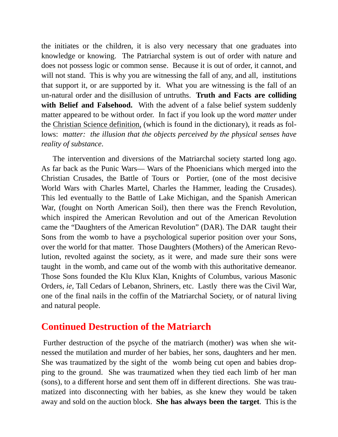the initiates or the children, it is also very necessary that one graduates into knowledge or knowing. The Patriarchal system is out of order with nature and does not possess logic or common sense. Because it is out of order, it cannot, and will not stand. This is why you are witnessing the fall of any, and all, institutions that support it, or are supported by it. What you are witnessing is the fall of an un-natural order and the disillusion of untruths. **Truth and Facts are colliding with Belief and Falsehood.** With the advent of a false belief system suddenly matter appeared to be without order. In fact if you look up the word *matter* under the Christian Science definition, (which is found in the dictionary), it reads as follows: *matter: the illusion that the objects perceived by the physical senses have reality of substance*.

 The intervention and diversions of the Matriarchal society started long ago. As far back as the Punic Wars— Wars of the Phoenicians which merged into the Christian Crusades, the Battle of Tours or Portier, (one of the most decisive World Wars with Charles Martel, Charles the Hammer, leading the Crusades). This led eventually to the Battle of Lake Michigan, and the Spanish American War, (fought on North American Soil), then there was the French Revolution, which inspired the American Revolution and out of the American Revolution came the "Daughters of the American Revolution" (DAR). The DAR taught their Sons from the womb to have a psychological superior position over your Sons, over the world for that matter. Those Daughters (Mothers) of the American Revolution, revolted against the society, as it were, and made sure their sons were taught in the womb, and came out of the womb with this authoritative demeanor. Those Sons founded the Klu Klux Klan, Knights of Columbus, various Masonic Orders, *ie,* Tall Cedars of Lebanon, Shriners, etc. Lastly there was the Civil War, one of the final nails in the coffin of the Matriarchal Society, or of natural living and natural people.

### **Continued Destruction of the Matriarch**

Further destruction of the psyche of the matriarch (mother) was when she witnessed the mutilation and murder of her babies, her sons, daughters and her men. She was traumatized by the sight of the womb being cut open and babies dropping to the ground. She was traumatized when they tied each limb of her man (sons), to a different horse and sent them off in different directions. She was traumatized into disconnecting with her babies, as she knew they would be taken away and sold on the auction block. **She has always been the target**. This is the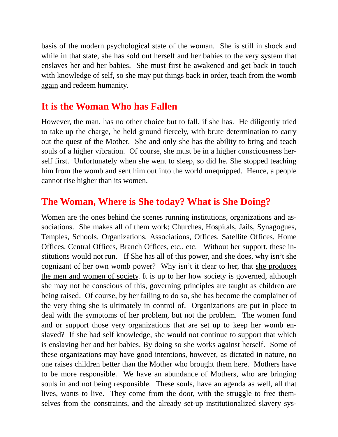basis of the modern psychological state of the woman. She is still in shock and while in that state, she has sold out herself and her babies to the very system that enslaves her and her babies. She must first be awakened and get back in touch with knowledge of self, so she may put things back in order, teach from the womb again and redeem humanity.

# **It is the Woman Who has Fallen**

However, the man, has no other choice but to fall, if she has. He diligently tried to take up the charge, he held ground fiercely, with brute determination to carry out the quest of the Mother. She and only she has the ability to bring and teach souls of a higher vibration. Of course, she must be in a higher consciousness herself first. Unfortunately when she went to sleep, so did he. She stopped teaching him from the womb and sent him out into the world unequipped. Hence, a people cannot rise higher than its women.

# **The Woman, Where is She today? What is She Doing?**

Women are the ones behind the scenes running institutions, organizations and associations. She makes all of them work; Churches, Hospitals, Jails, Synagogues, Temples, Schools, Organizations, Associations, Offices, Satellite Offices, Home Offices, Central Offices, Branch Offices, etc., etc. Without her support, these institutions would not run. If She has all of this power, and she does, why isn't she cognizant of her own womb power? Why isn't it clear to her, that she produces the men and women of society. It is up to her how society is governed, although she may not be conscious of this, governing principles are taught as children are being raised. Of course, by her failing to do so, she has become the complainer of the very thing she is ultimately in control of. Organizations are put in place to deal with the symptoms of her problem, but not the problem. The women fund and or support those very organizations that are set up to keep her womb enslaved? If she had self knowledge, she would not continue to support that which is enslaving her and her babies. By doing so she works against herself. Some of these organizations may have good intentions, however, as dictated in nature, no one raises children better than the Mother who brought them here. Mothers have to be more responsible. We have an abundance of Mothers, who are bringing souls in and not being responsible. These souls, have an agenda as well, all that lives, wants to live. They come from the door, with the struggle to free themselves from the constraints, and the already set-up institutionalized slavery sys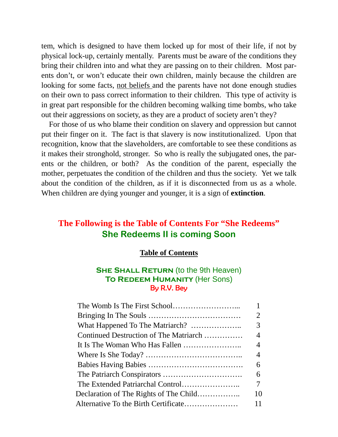tem, which is designed to have them locked up for most of their life, if not by physical lock-up, certainly mentally. Parents must be aware of the conditions they bring their children into and what they are passing on to their children. Most parents don't, or won't educate their own children, mainly because the children are looking for some facts, not beliefs and the parents have not done enough studies on their own to pass correct information to their children. This type of activity is in great part responsible for the children becoming walking time bombs, who take out their aggressions on society, as they are a product of society aren't they?

 For those of us who blame their condition on slavery and oppression but cannot put their finger on it. The fact is that slavery is now institutionalized. Upon that recognition, know that the slaveholders, are comfortable to see these conditions as it makes their stronghold, stronger. So who is really the subjugated ones, the parents or the children, or both? As the condition of the parent, especially the mother, perpetuates the condition of the children and thus the society. Yet we talk about the condition of the children, as if it is disconnected from us as a whole. When children are dying younger and younger, it is a sign of **extinction**.

## **The Following is the Table of Contents For "She Redeems" She Redeems II is coming Soon**

#### **Table of Contents**

#### **SHE SHALL RETURN** (to the 9th Heaven) **To Redeem Humanity** (Her Sons) By R.V. Bey

| $\overline{2}$ |
|----------------|
| 3              |
| $\overline{4}$ |
| $\overline{4}$ |
| 4              |
| 6              |
| 6              |
| 7              |
| 10             |
| 11             |
|                |